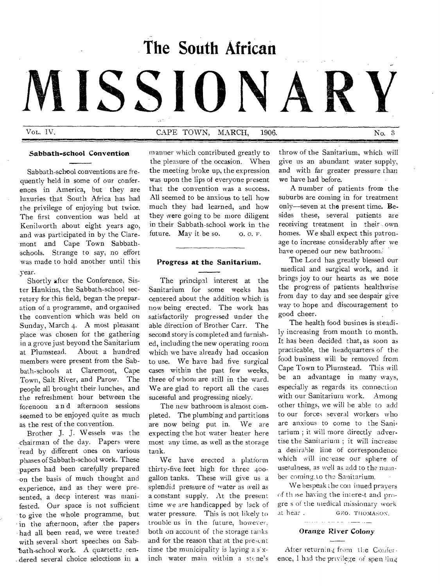# **The South African**

MISSION

Vol. IV. CAPE TOWN, MARCH, 1906. No. 3

## Sabbath-school Convention

Sabbath-school conventions are frequently held in some of our conferences in America, but they are luxuries that South Africa has had the privilege of enjoying but twice. The first convention was held at Kenilworth about eight years ago, and was participated in by the Claremont and Cape Town Sabbathschools. Strange to say, no effort was made to hold another until this year.

Shortly after the Conference, Sister Hankins, the Sabbath-school secretary for this field, began the preparation of a programme, and organised the convention which was held on Sunday, March 4. A most pleasant place was chosen for the gathering in a grove just beyond the Sanitarium at Plumstead. About a hundred members were present from the Sabbath-schools at Claremont, Cape Town, Salt River, and Parow. The people all brought their lunches, and the refreshment hour between the forenoon a n d afternoon sessions seemed to be enjoyed quite as much as the rest of the convention.

Brother J. J. Wessels was the chairman of the day. Papers were read by different ones on various phases of Sabbath-school work. These papers had been carefully prepared on the basis of much thought and experience, and as they were presented, a deep interest was manifested. Our space is not sufficient to give the whole programme, but in the afternoon, after the papers had all been read, we were treated with several short speeches on Sab- 'bath-school work. A quartette rendered several choice selections in a

manner which contributed greatly to the pleasure of the occasion. When the meeting broke up, the expression was upon the lips of everyone present that the convention was a success. All seemed to be anxious to tell how much they had learned, and how they were going to be more diligent in their Sabbath-school work in the future. May it be so.  $O. O. F.$ 

# Progress at the Sanitarium.

The principal interest at the Sanitarium for some weeks has centered about the addition which is now being erected. The work has satisfactorily progressed under the able direction of Brother Carr. The second story is completed and furnished, including the new operating room which we have already had occasion to use. We have had five surgical cases within the past few weeks, three of whom are still in the ward. We are glad to report all the cases sucessful and progressing nicely.

The new bathroom is almost completed. The plumbing and partitions are now being put in. We are expecting the hot water heater here most any time, as well as the storage tank.

We have erected a platform thirty-five feet high for three 400 gallon tanks. These will give us a splendid pressure of water as well as a constant supply. At the present time we are handicapped by lack of water pressure. This is not likely to trouble us in the future, however, both on account of the storage tanks and for the reason that at the pre,ent time the municipality is laying a  $s$  xinch water main within a stone's

throw of the Sanitarium, which will give us an abundant water supply, and with far greater pressure than we have had before.

A number of patients from the suburbs are coming in for treatment only—seven at the present time. Besides these, several patients are receiving treatment in their own homes. We shall expect this patronage to increase considerably after we have opened our new bathroom.

The Lord has greatly blessed our medical and surgical work, and it brings joy to our hearts as we note the progress of patients healthwise from day to day and see despair give way to hope and discouragement to good cheer.

The health food busines is steadily increasing from month to month. It has been decided that, as soon as practicable, the headquarters of the food business will be removed from Cape Town to Plumstead. This will be an advantage in many ways, especially as regards its connection with our Sanitarium work. Among other things, we will he able to add to our force; several workers who are anxious to come to the Sanitarium ; it will more directly advertise the Sanitarium ; it will increase a desirable line of correspondence which will increase our sphere of usefulness, as well as add to the number coming. to the Sanitarium.

We bespeak the con-inued prayers of those having the interest and progre s of the medical missionary work at hear . GEO. THOMASON.

Orange River Colony

After returning from the Conference, 1 had the privilege of spen ling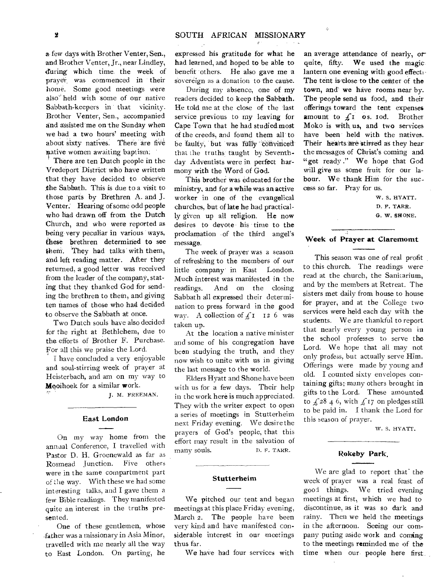a- few days with Brother Venter, Sen., and Brother Venter, Jr., near Lindley, during which time. the week of prayer, was commenced in their home. Some good meetings were also' held with some of our native Sabbath-keepers in that vicinity. Brother Venter, Sen., accompanied and assisted me on the Sunday when we had a two hours' meeting with about sixty natives. There are five mative women awaiting baptism:

There are ten Dutch people in the Vredeport District who have written that they have decided to observe .the Sabbath. This is due to a visit to those parts by Brethren A. and J. Venter. Hearing of some odd people who had drawn off from the Dutch Church, and who were reported as being very peculiar in various ways, these brethren determined to see them. They had talks with them, and left reading matter. After they returned, a good letter was received from the leader of the company, stating that they thanked God for sending the brethren to them, and giving ten names of those who had decided to observe the Sabbath at once.

Two Dutch souls have also decided for the right at Bethlehem, due to the efforts of Brother F. Purchase. For all this we praise the Lord.

I have concluded a very enjoyable and soul-stirring week of prayer at Heisterbach, and am on my way to Mooihoek for a similar work.

J. H. FREEMAN.

## East London

On my way home from the annual Conference, I travelled with Pastor D. H. Groenewald as far as Rosmead Junction. Five others were in the same compartment part of the way. With these we had some interesting talks, and I gave them a few Bible readings. They manifested quite an interest in the truths presented.

One of these gentlemen, whose -father was a missionary in Asia Minor, travelled with me nearly all the way to East London. On parting, he expressed his gratitude for what he had learned, and hoped to be able to benefit others. He also gave me a sovereign as a donation to the cause.

During my absence, one of my readers decided to keep the Sabbath. He told me at the close of the 'last service previous to my leaving for Cape Town that he had studied most of the creeds, and found them all to be faulty, but was fully convinced that the truths taught by Seventhday Adventists were in perfect harmony with the Word of God.

This brother was educated for the ministry, and for a while was an active worker in one of the evangelical churches, but of late he had practically given up all religion. He now desires to devote his time to the proclamation -of the third angel's message.

The week of prayer was a season of refreshing to the members of our little company-in East London. Much interest was manifested in the readings. And on the closing Sabbath all expressed their determination to press forward in the good way. A collection of  $\int_{a} 1 I_2$  6 was taken up.

At the location a native minister and some of his congregation have been studying the truth, and they now wish to unite with us in giving the last message to the world.

Elders Hyatt and Shone have been with us for a few days. Their help in the work here is much appreciated. They with the writer expect to open a series of meetings in Stutterheim next Friday evening. We desire the prayers of God's people, that this effort may result in the salvation of many souls. D. F. TARR.

#### **Stutterheim**

We pitched our tent and began meetings at this place Friday evening, March 2. The people have been very kind and have manifested considerable interest in our meetings thus far.

We have had four services with

an average attendance of nearly, or quite, fifty. We used the magiclantern one evening with good effect:- The tent is close to the center of the town, and' we have rooms near by. The people send us food, and their offerings toward the tent expenses amount to  $f_1$  os. 10d. Brother Moko is with us, and two services have been held with the natives. Their hearts are stirred as they hear the messages of Christ's coming and "get ready." We hope that God will give us some fruit for our labour. We thank Him for the success so far. Pray for us.

 $\mathcal{L}_\mathrm{c}$ 

W. S. HYATT. D. F. TARR. G. W. SHONE.

## **Week of Prayer at Claremomt**

This season was one of real profit to this church. The readings were read at the church, the Sanitarium, and by the members at Retreat. The sisters met daily from house to house for prayer, and at the College two services were held each day with the students. We are thankful to report that nearly every young person in the school professes to serve the Lord. We hope that all may not only profess, but actually serve Him. Offerings were made by young and old. I counted sixty envelopes containing gifts; many others brought in gifts to the Lord. These amounted. to  $\frac{1}{4}$  28 4 6, with  $\frac{1}{4}$  17 on pledges still to be paid in. I thank the Lord for this season of prayer.

W. S. HYATT.

## **Rokeby Park.**

We are glad to report that the week of prayer was a real feast of good things. We tried evening meetings at first, which we had to discontinue, as it was so dark and rainy. Then we held the meetings in the afternoon. Seeing our company puting aside work and coming to the meetings reminded me of the time when our people here first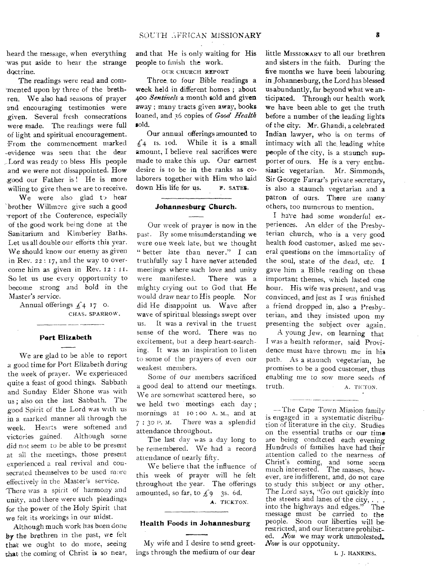heard the message, when everything was put aside to hear the strange doctrine.

The readings were read and commented upon by three of the brethren. We also had seasons of prayer and encouraging testimonies were given. Several fresh consecrations were made. The readings were full of light and spiritual encouragement. From the commencement marked -evidence was seen that the dear -Lord was ready to bless His people and we were not dissappointed. How good our Father is! He is more willing to give then we are to receive.

We were also glad to hear 'brother Willmore give such a good ereport of the Conference, especially of the good work being done at the Sanitarium and Kimberley Baths. Let us all double our efforts this year. We should know our enemy as given in Rev. zz : 17, and the way to overcome him as given in Rev. 12 : 11. So let us use every opportunity to become strong and bold in the Master's service.

> Annual offerings  $\mathcal{L}_4$  17 0. CHAS. SPARROW.

#### **Port Elizabeth**

We are glad to be able to report a good time for Port Elizabeth during the week of prayer. We experienced quite a feast of good things. Sabbath and Sunday Elder Shone was with us ; also on the last Sabbath. The good Spirit of the Lord was with us in a marked manner all through the week. Hearts were softened and victories gained. Although some did not seem to be able to be present at all the meetings, those present experienced a real revival and consecrated themselves to be used more effectively in the Master's service.

'There was a spirit of harmony and unity, and there were such pleadings for the power of the Holy Spirit that we felt its workings in our midst.

Although much work has been done by the brethren in the past, we felt that we ought to do more, seeing that the coming of Christ is so near, and that He is only waiting for His people to finish the work.

OUR CHURCH REPORT

Three to four Bible readings a week held in different homes ; about 400 *Sentinels* a month sold and given away ; many tracts given away, books loaned, and 36 copies of *Good Health*  sold.

Our annual offerings amounted to  $f_4$  is. iod. While it is a small amount, I believe real sacrifices were made to make this up. Our earnest desire is to be in the ranks as colaborers together with Him who laid down His life for us. F. SATES.

### **Johannesburg Church.**

Our week of prayer is now in the past. By some misunderstanding we were one week late, but we thought " better late than never." I can truthfully say I have never attended meetings where such love and unity were manifested. There was a mighty crying out to God that He would draw near to His people. Nor did He disappoint us. Wave after wave of spiritual blessings swept over us. It was a revival in the truest sense of the word. There was no excitement, but a deep heart-searching. It was an inspiration to listen to some of the prayers of even our weakest members.

Some of our members sacrificed a good deal to attend our meetings. We are somewhat scattered here, so we held two meetings each day; mornings at to : oo A. M., and at  $7:30$  P.M. There was a splendid attendance throughout.

The last day was a day long to be remembered. We had a record attendance of nearly fifty.

We believe that the influence of this week of prayer will he felt throughout the year. The offerings amounted, so far, to  $f_9$  3s. 6d.

**A. TICKTON.** 

#### **Health Foods in Johannesburg**

My wife and I desire to send greetings through the medium of our dear

little MISSIONARY to all our brethren and sisters in the faith, During' the five months we have been labouring. in Johannesburg, the Lord has blessed us abundantly, far beyond what we anticipated. Through our health work we have been able to get the truth before a number of the leading lights of the city: Mr. Ghandi, a celebrated Indian lawyer, who is on terms of intimacy with all the, leading white people of the city, is a staunch supporter of ours. He is a very enthusiastic vegetarian. Mr. Simmonds, Sir George Farrar's private secretary, is also a staunch vegetarian and a patron of ours. There are many others, too numerous to mention.

I have had some wonderful experiences. An elder of the Presbyterian church, who is a very good health food customer, asked me several questions on the immortality of the soul, state of the dead, etc. **I**  gave him a Bible reading on these important themes, which lasted one hour. His wife was present, and was convinced, and just as I was finished a friend dropped in, also a Presbyterian, and they insisted upon my presenting the subject over again.

A young Jew, on learning that I was a health reformer, said Providence must have thrown me in his path. As a staunch vegetarian, he promises to be a good customer, thus enabling me to sow more seeds of truth. A. TICTON.

—The Cape Town Mission family is engaged in a systematic distribution of literature in the city. Studies on the essential truths or our time are being condtcted each evening Hundreds of families have had their attention called to the nearness of Christ's coming, and some seem much interested. The masses, however, are indifferent, and, do not care to study this subject or any other. The Lord says, "Go out quickly into the streets and lanes of the city,  $\ldots$ into the highways and edges." The message must be carried to the people. Soon our liberties will berestricted, and our literature prohibited. *Nou* we may work unmolested. Now is our oppotunity.

L. J. HANKINS.,

a i ge